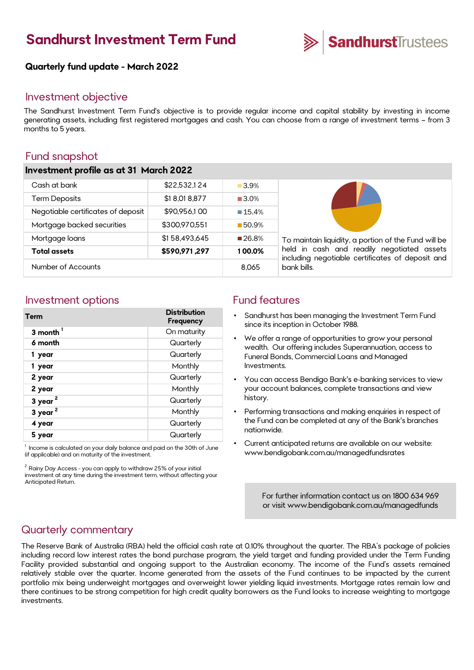# **Sandhurst Investment Term Fund**



### **Quarterly fund update - March 2022**

## Investment objective

The Sandhurst Investment Term Fund's objective is to provide regular income and capital stability by investing in income generating assets, including first registered mortgages and cash. You can choose from a range of investment terms – from 3 months to 5 years.

## Fund snapshot

#### **Investment profile as at 31 March 2022**

| Number of Accounts                 |               | 8.065                | bank bills.                                                                                                                                            |
|------------------------------------|---------------|----------------------|--------------------------------------------------------------------------------------------------------------------------------------------------------|
| Total assets                       | \$590,971,297 | 100.0%               | To maintain liquidity, a portion of the Fund will be<br>held in cash and readily negotiated assets<br>including negotiable certificates of deposit and |
| Mortgage loans                     | \$158,493,645 | ■26.8%               |                                                                                                                                                        |
| Mortgage backed securities         | \$300,970,551 | 150.9%               |                                                                                                                                                        |
| Negotiable certificates of deposit | \$90,956,100  | $\blacksquare$ 15.4% |                                                                                                                                                        |
| <b>Term Deposits</b>               | \$18,018,877  | $\blacksquare$ 3.0%  |                                                                                                                                                        |
| Cash at bank                       | \$22.532.124  | 3.9%                 |                                                                                                                                                        |
|                                    |               |                      |                                                                                                                                                        |

## Investment options The South of Fund features

| <b>Term</b>         | <b>Distribution</b><br>Frequency |
|---------------------|----------------------------------|
| 3 month $1$         | On maturity                      |
| 6 month             | Quarterly                        |
| 1 year              | Quarterly                        |
| 1 year              | Monthly                          |
| 2 year              | Quarterly                        |
| 2 year              | Monthly                          |
| 3 year <sup>2</sup> | Quarterly                        |
| 3 year <sup>2</sup> | Monthly                          |
| 4 year              | Quarterly                        |
| 5 year              | Quarterly                        |

 $^{\rm 1}$  Income is calculated on your daily balance and paid on the 30th of June (if applicable) and on maturity of the investment.

 $2$  Rainy Day Access - you can apply to withdraw 25% of your initial investment at any time during the investment term, without affecting your Anticipated Return.

- Sandhurst has been managing the Investment Term Fund since its inception in October 1988.
- We offer a range of opportunities to grow your personal wealth. Our offering includes Superannuation, access to Funeral Bonds, Commercial Loans and Managed Investments.
- You can access Bendigo Bank's e-banking services to view your account balances, complete transactions and view history.
- Performing transactions and making enquiries in respect of the Fund can be completed at any of the Bank's branches nationwide.
- Current anticipated returns are available on our website: www.bendigobank.com.au/managedfundsrates

[For further information contact us on 1800 634 969](https://www.bendigobank.com.au/managedfunds)  or visit www.bendigobank.com.au/managedfunds

## Quarterly commentary

The Reserve Bank of Australia (RBA) held the official cash rate at 0.10% throughout the quarter. The RBA's package of policies including record low interest rates the bond purchase program, the yield target and funding provided under the Term Funding Facility provided substantial and ongoing support to the Australian economy. The income of the Fund's assets remained relatively stable over the quarter. Income generated from the assets of the Fund continues to be impacted by the current portfolio mix being underweight mortgages and overweight lower yielding liquid investments. Mortgage rates remain low and there continues to be strong competition for high credit quality borrowers as the Fund looks to increase weighting to mortgage investments.